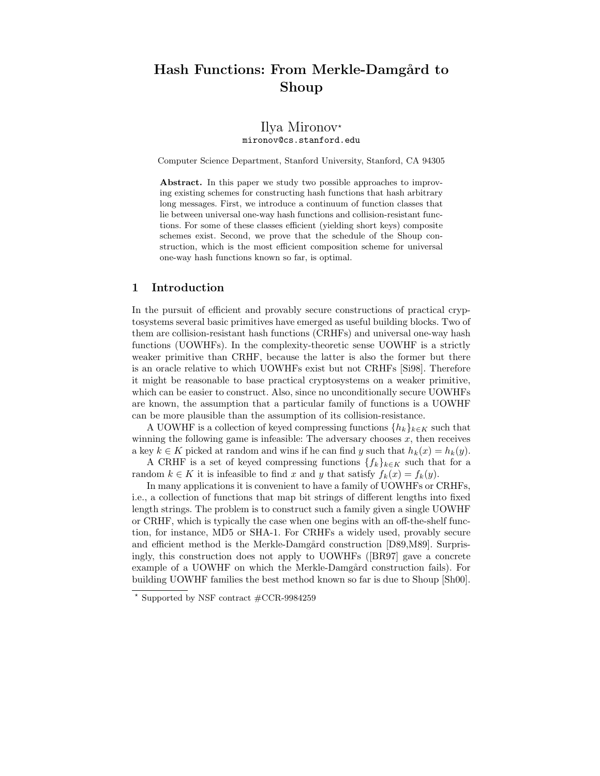# Hash Functions: From Merkle-Damgård to Shoup

# Ilya Mironov\* mironov@cs.stanford.edu

Computer Science Department, Stanford University, Stanford, CA 94305

Abstract. In this paper we study two possible approaches to improving existing schemes for constructing hash functions that hash arbitrary long messages. First, we introduce a continuum of function classes that lie between universal one-way hash functions and collision-resistant functions. For some of these classes efficient (yielding short keys) composite schemes exist. Second, we prove that the schedule of the Shoup construction, which is the most efficient composition scheme for universal one-way hash functions known so far, is optimal.

# 1 Introduction

In the pursuit of efficient and provably secure constructions of practical cryptosystems several basic primitives have emerged as useful building blocks. Two of them are collision-resistant hash functions (CRHFs) and universal one-way hash functions (UOWHFs). In the complexity-theoretic sense UOWHF is a strictly weaker primitive than CRHF, because the latter is also the former but there is an oracle relative to which UOWHFs exist but not CRHFs [Si98]. Therefore it might be reasonable to base practical cryptosystems on a weaker primitive, which can be easier to construct. Also, since no unconditionally secure UOWHFs are known, the assumption that a particular family of functions is a UOWHF can be more plausible than the assumption of its collision-resistance.

A UOWHF is a collection of keyed compressing functions  $\{h_k\}_{k\in K}$  such that winning the following game is infeasible: The adversary chooses  $x$ , then receives a key  $k \in K$  picked at random and wins if he can find y such that  $h_k(x) = h_k(y)$ .

A CRHF is a set of keyed compressing functions  $\{f_k\}_{k\in K}$  such that for a random  $k \in K$  it is infeasible to find x and y that satisfy  $f_k(x) = f_k(y)$ .

In many applications it is convenient to have a family of UOWHFs or CRHFs, i.e., a collection of functions that map bit strings of different lengths into fixed length strings. The problem is to construct such a family given a single UOWHF or CRHF, which is typically the case when one begins with an off-the-shelf function, for instance, MD5 or SHA-1. For CRHFs a widely used, provably secure and efficient method is the Merkle-Damgård construction [D89,M89]. Surprisingly, this construction does not apply to UOWHFs ([BR97] gave a concrete example of a UOWHF on which the Merkle-Damgård construction fails). For building UOWHF families the best method known so far is due to Shoup [Sh00].

 $*$  Supported by NSF contract  $\text{\#CCR-9984259}$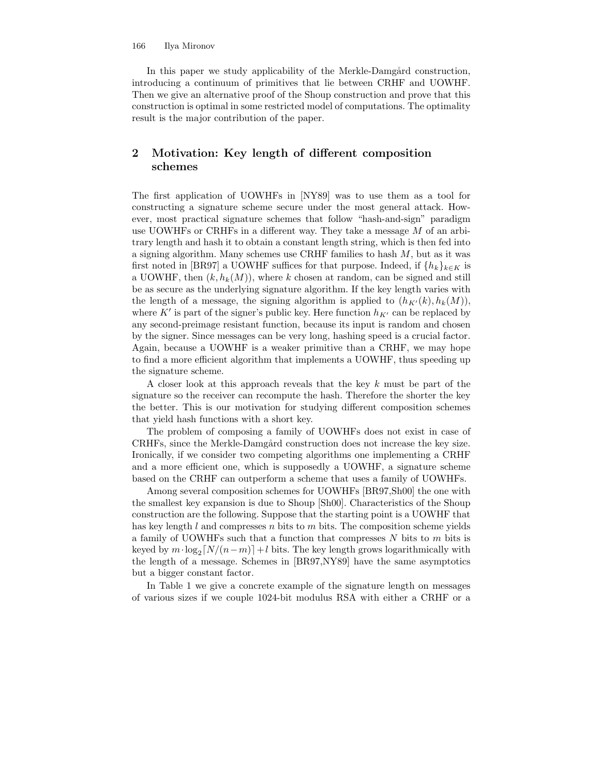In this paper we study applicability of the Merkle-Damgård construction, introducing a continuum of primitives that lie between CRHF and UOWHF. Then we give an alternative proof of the Shoup construction and prove that this construction is optimal in some restricted model of computations. The optimality result is the major contribution of the paper.

# 2 Motivation: Key length of different composition schemes

The first application of UOWHFs in [NY89] was to use them as a tool for constructing a signature scheme secure under the most general attack. However, most practical signature schemes that follow "hash-and-sign" paradigm use UOWHFs or CRHFs in a different way. They take a message M of an arbitrary length and hash it to obtain a constant length string, which is then fed into a signing algorithm. Many schemes use CRHF families to hash  $M$ , but as it was first noted in [BR97] a UOWHF suffices for that purpose. Indeed, if  $\{h_k\}_{k\in K}$  is a UOWHF, then  $(k, h_k(M))$ , where k chosen at random, can be signed and still be as secure as the underlying signature algorithm. If the key length varies with the length of a message, the signing algorithm is applied to  $(h_{K'}(k), h_k(M)),$ where  $K'$  is part of the signer's public key. Here function  $h_{K'}$  can be replaced by any second-preimage resistant function, because its input is random and chosen by the signer. Since messages can be very long, hashing speed is a crucial factor. Again, because a UOWHF is a weaker primitive than a CRHF, we may hope to find a more efficient algorithm that implements a UOWHF, thus speeding up the signature scheme.

A closer look at this approach reveals that the key k must be part of the signature so the receiver can recompute the hash. Therefore the shorter the key the better. This is our motivation for studying different composition schemes that yield hash functions with a short key.

The problem of composing a family of UOWHFs does not exist in case of CRHFs, since the Merkle-Damgård construction does not increase the key size. Ironically, if we consider two competing algorithms one implementing a CRHF and a more efficient one, which is supposedly a UOWHF, a signature scheme based on the CRHF can outperform a scheme that uses a family of UOWHFs.

Among several composition schemes for UOWHFs [BR97,Sh00] the one with the smallest key expansion is due to Shoup [Sh00]. Characteristics of the Shoup construction are the following. Suppose that the starting point is a UOWHF that has key length  $l$  and compresses n bits to m bits. The composition scheme yields a family of UOWHFs such that a function that compresses  $N$  bits to  $m$  bits is keyed by  $m \cdot \log_2\left[N/(n-m)\right] + l$  bits. The key length grows logarithmically with the length of a message. Schemes in [BR97,NY89] have the same asymptotics but a bigger constant factor.

In Table 1 we give a concrete example of the signature length on messages of various sizes if we couple 1024-bit modulus RSA with either a CRHF or a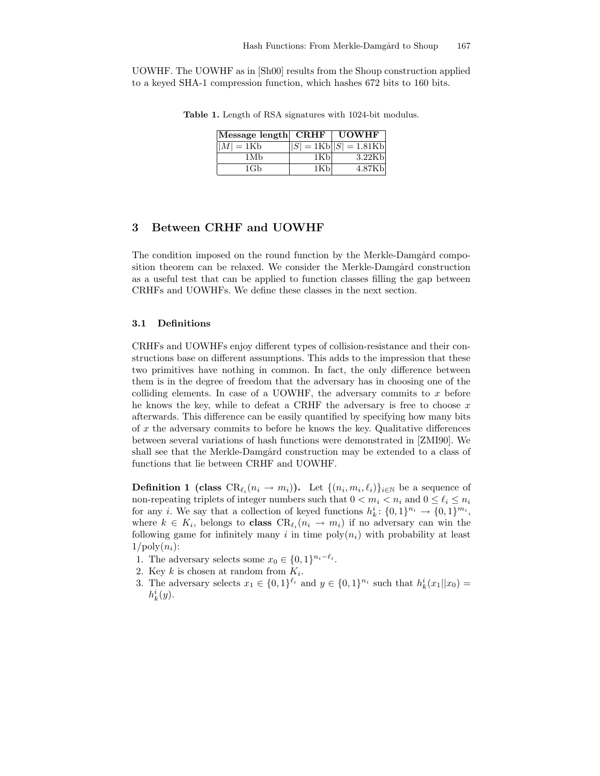UOWHF. The UOWHF as in [Sh00] results from the Shoup construction applied to a keyed SHA-1 compression function, which hashes 672 bits to 160 bits.

| Message length CRHF UOWHF |     |                              |
|---------------------------|-----|------------------------------|
| $ M  = 1Kb$               |     | $ S  = 1$ Kb $ S  = 1.81$ Kb |
| 1Mb                       | 1Kb | 3.22Kh                       |
| 1Gb                       | 1Kb | 4.87Kb                       |

Table 1. Length of RSA signatures with 1024-bit modulus.

## 3 Between CRHF and UOWHF

The condition imposed on the round function by the Merkle-Damgård composition theorem can be relaxed. We consider the Merkle-Damgård construction as a useful test that can be applied to function classes filling the gap between CRHFs and UOWHFs. We define these classes in the next section.

#### 3.1 Definitions

CRHFs and UOWHFs enjoy different types of collision-resistance and their constructions base on different assumptions. This adds to the impression that these two primitives have nothing in common. In fact, the only difference between them is in the degree of freedom that the adversary has in choosing one of the colliding elements. In case of a UOWHF, the adversary commits to  $x$  before he knows the key, while to defeat a CRHF the adversary is free to choose  $x$ afterwards. This difference can be easily quantified by specifying how many bits of  $x$  the adversary commits to before he knows the key. Qualitative differences between several variations of hash functions were demonstrated in [ZMI90]. We shall see that the Merkle-Damgård construction may be extended to a class of functions that lie between CRHF and UOWHF.

**Definition 1** (class  $CR_{\ell_i}(n_i \rightarrow m_i)$ ). Let  $\{(n_i, m_i, \ell_i)\}_{i \in \mathbb{N}}$  be a sequence of non-repeating triplets of integer numbers such that  $0 < m_i < n_i$  and  $0 \leq \ell_i \leq n_i$ for any *i*. We say that a collection of keyed functions  $h_k^i: \{0,1\}^{n_i} \to \{0,1\}^{m_i}$ , where  $k \in K_i$ , belongs to **class**  $CR_{\ell_i}(n_i \rightarrow m_i)$  if no adversary can win the following game for infinitely many i in time  $poly(n_i)$  with probability at least  $1/\mathrm{poly}(n_i)$ :

- 1. The adversary selects some  $x_0 \in \{0, 1\}^{n_i \ell_i}$ .
- 2. Key  $k$  is chosen at random from  $K_i$ .
- 3. The adversary selects  $x_1 \in \{0,1\}^{\ell_i}$  and  $y \in \{0,1\}^{n_i}$  such that  $h_k^i(x_1||x_0) =$  $h_k^i(y)$ .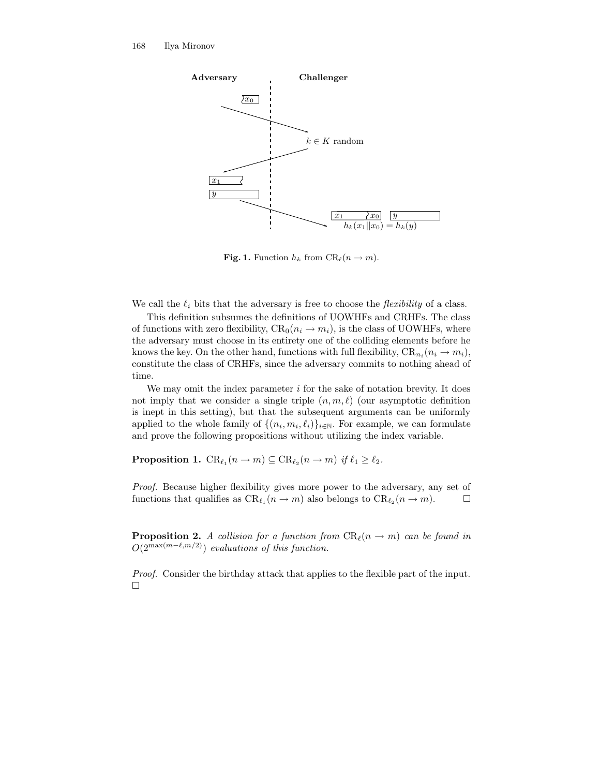PSfrag replacements



**Fig. 1.** Function  $h_k$  from  $CR_\ell(n \to m)$ .

We call the  $\ell_i$  bits that the adversary is free to choose the *flexibility* of a class.

This definition subsumes the definitions of UOWHFs and CRHFs. The class of functions with zero flexibility,  $CR_0(n_i \rightarrow m_i)$ , is the class of UOWHFs, where the adversary must choose in its entirety one of the colliding elements before he knows the key. On the other hand, functions with full flexibility,  $\text{CR}_{n_i}(n_i \rightarrow m_i)$ , constitute the class of CRHFs, since the adversary commits to nothing ahead of time.

We may omit the index parameter  $i$  for the sake of notation brevity. It does not imply that we consider a single triple  $(n, m, \ell)$  (our asymptotic definition is inept in this setting), but that the subsequent arguments can be uniformly applied to the whole family of  $\{(n_i, m_i, \ell_i)\}_{i \in \mathbb{N}}$ . For example, we can formulate and prove the following propositions without utilizing the index variable.

**Proposition 1.**  $CR_{\ell_1}(n \to m) \subseteq CR_{\ell_2}(n \to m)$  if  $\ell_1 \geq \ell_2$ .

Proof. Because higher flexibility gives more power to the adversary, any set of functions that qualifies as  $CR_{\ell_1}(n \to m)$  also belongs to  $CR_{\ell_2}(n \to m)$ .  $\Box$ 

**Proposition 2.** A collision for a function from  $CR_\ell(n \to m)$  can be found in  $O(2^{\max(m-\ell,m/2)})$  evaluations of this function.

Proof. Consider the birthday attack that applies to the flexible part of the input. ¤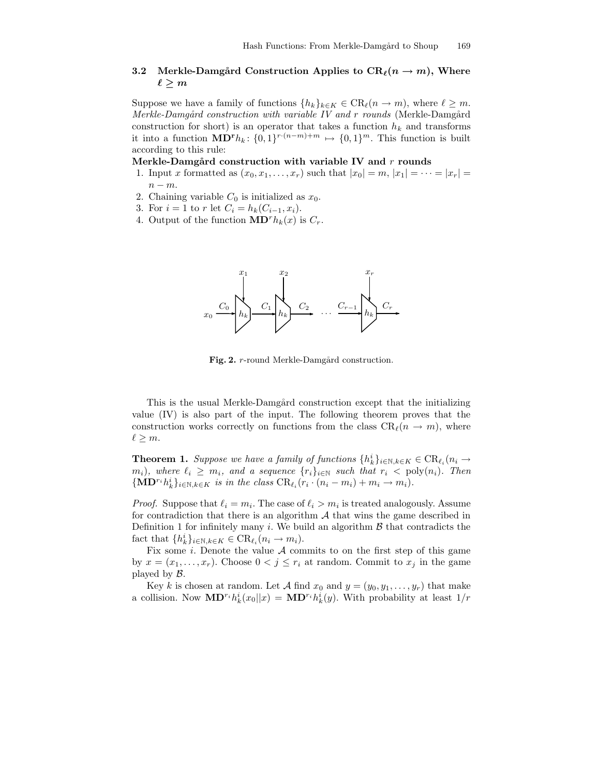## 3.2 Merkle-Damgård Construction Applies to  $\text{CR}_{\ell}(n \to m)$ , Where  $\ell \geq m$

Suppose we have a family of functions  $\{h_k\}_{k\in K} \in \text{CR}_{\ell}(n \to m)$ , where  $\ell \geq m$ . Merkle-Damgård construction with variable IV and r rounds (Merkle-Damgård construction for short) is an operator that takes a function  $h_k$  and transforms it into a function  $\text{MD}^{\mathbf{r}} h_k$ :  $\{0,1\}^{r \cdot (n-m)+m} \rightarrow \{0,1\}^m$ . This function is built according to this rule:

Merkle-Damgård construction with variable IV and  $r$  rounds

- 1. Input x formatted as  $(x_0, x_1, ..., x_r)$  such that  $|x_0| = m$ ,  $|x_1| = \cdots = |x_r| =$  $n - m$ .
- 2. Chaining variable  $C_0$  is initialized as  $x_0$ .

3. For  $i = 1$  to r let  $C_i = h_k(C_{i-1}, x_i)$ .

PSfrag rolacements the function  $\text{MD}^r h_k(x)$  is  $C_r$ .



Fig. 2. r-round Merkle-Damgård construction.

This is the usual Merkle-Damgård construction except that the initializing value (IV) is also part of the input. The following theorem proves that the construction works correctly on functions from the class  $CR_\ell(n \to m)$ , where  $\ell \geq m$ .

**Theorem 1.** Suppose we have a family of functions  $\{h_k^i\}_{i \in \mathbb{N}, k \in K} \in \text{CR}_{\ell_i}(n_i \rightarrow$  $m_i$ , where  $\ell_i \geq m_i$ , and a sequence  $\{r_i\}_{i\in\mathbb{N}}$  such that  $r_i < \text{poly}(n_i)$ . Then  $\{ \text{MD}^{r_i} h_k^i \}_{i \in \mathbb{N}, k \in K}$  is in the class  $\text{CR}_{\ell_i}(r_i \cdot (n_i - m_i) + m_i \rightarrow m_i)$ .

*Proof.* Suppose that  $\ell_i = m_i$ . The case of  $\ell_i > m_i$  is treated analogously. Assume for contradiction that there is an algorithm  $A$  that wins the game described in Definition 1 for infinitely many  $i$ . We build an algorithm  $\beta$  that contradicts the fact that  $\{h_k^i\}_{i \in \mathbb{N}, k \in K} \in \mathrm{CR}_{\ell_i}(n_i \to m_i).$ 

Fix some *i*. Denote the value  $A$  commits to on the first step of this game by  $x = (x_1, \ldots, x_r)$ . Choose  $0 < j \leq r_i$  at random. Commit to  $x_j$  in the game played by B.

Key k is chosen at random. Let A find  $x_0$  and  $y = (y_0, y_1, \ldots, y_r)$  that make a collision. Now  $\text{MD}^{r_i} h_k^i(x_0||x) = \text{MD}^{r_i} h_k^i(y)$ . With probability at least  $1/r$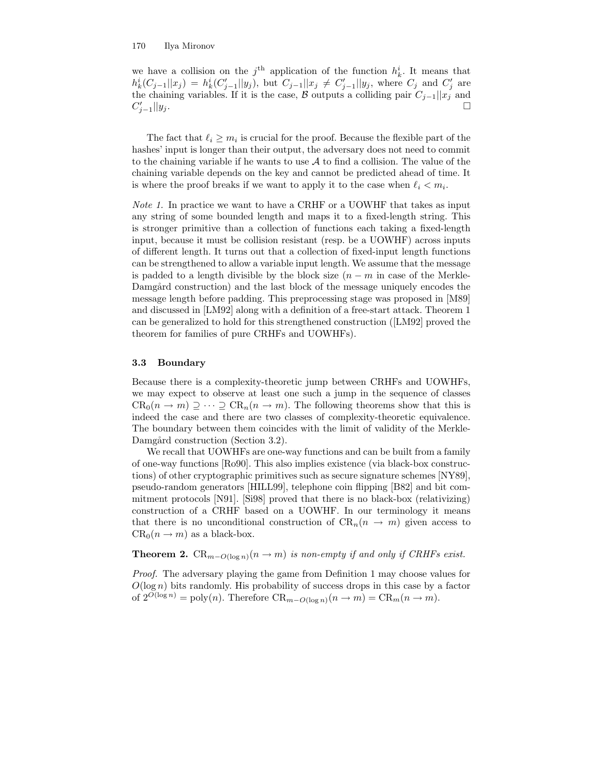we have a collision on the  $j<sup>th</sup>$  application of the function  $h_k^i$ . It means that  $h_k^i(C_{j-1}||x_j) = h_k^i(C'_{j-1}||y_j)$ , but  $C_{j-1}||x_j \neq C'_{j-1}||y_j$ , where  $C_j$  and  $C'_j$  are the chaining variables. If it is the case, B outputs a colliding pair  $C_{j-1}||x_j$  and  $C_{j-1}'$  $||y_j.$ 

The fact that  $\ell_i \geq m_i$  is crucial for the proof. Because the flexible part of the hashes' input is longer than their output, the adversary does not need to commit to the chaining variable if he wants to use  $A$  to find a collision. The value of the chaining variable depends on the key and cannot be predicted ahead of time. It is where the proof breaks if we want to apply it to the case when  $\ell_i < m_i$ .

Note 1. In practice we want to have a CRHF or a UOWHF that takes as input any string of some bounded length and maps it to a fixed-length string. This is stronger primitive than a collection of functions each taking a fixed-length input, because it must be collision resistant (resp. be a UOWHF) across inputs of different length. It turns out that a collection of fixed-input length functions can be strengthened to allow a variable input length. We assume that the message is padded to a length divisible by the block size  $(n - m)$  in case of the Merkle-Damgård construction) and the last block of the message uniquely encodes the message length before padding. This preprocessing stage was proposed in [M89] and discussed in [LM92] along with a definition of a free-start attack. Theorem 1 can be generalized to hold for this strengthened construction ([LM92] proved the theorem for families of pure CRHFs and UOWHFs).

#### 3.3 Boundary

Because there is a complexity-theoretic jump between CRHFs and UOWHFs, we may expect to observe at least one such a jump in the sequence of classes  $CR_0(n \to m) \supseteq \cdots \supseteq CR_n(n \to m)$ . The following theorems show that this is indeed the case and there are two classes of complexity-theoretic equivalence. The boundary between them coincides with the limit of validity of the Merkle-Damgård construction (Section 3.2).

We recall that UOWHFs are one-way functions and can be built from a family of one-way functions [Ro90]. This also implies existence (via black-box constructions) of other cryptographic primitives such as secure signature schemes [NY89], pseudo-random generators [HILL99], telephone coin flipping [B82] and bit commitment protocols [N91]. [Si98] proved that there is no black-box (relativizing) construction of a CRHF based on a UOWHF. In our terminology it means that there is no unconditional construction of  $CR_n(n \to m)$  given access to  $CR_0(n \rightarrow m)$  as a black-box.

## **Theorem 2.**  $CR_{m-O(log n)}(n \rightarrow m)$  is non-empty if and only if CRHFs exist.

Proof. The adversary playing the game from Definition 1 may choose values for  $O(\log n)$  bits randomly. His probability of success drops in this case by a factor of  $2^{O(\log n)} = \text{poly}(n)$ . Therefore  $\text{CR}_{m-O(\log n)}(n \to m) = \text{CR}_{m}(n \to m)$ .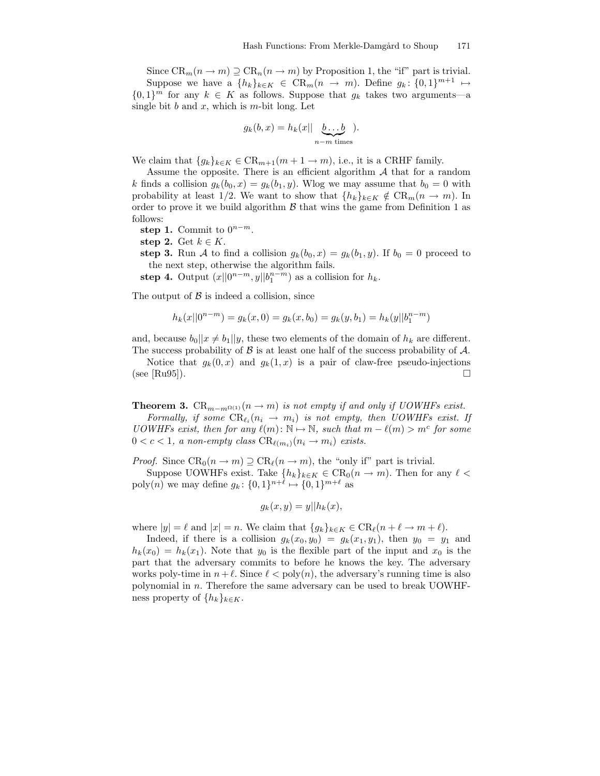Since  $\text{CR}_m(n \to m) \supseteq \text{CR}_n(n \to m)$  by Proposition 1, the "if" part is trivial. Suppose we have a  $\{h_k\}_{k\in K} \in \mathrm{CR}_m(n \to m)$ . Define  $g_k: \{0,1\}^{m+1} \mapsto$  ${0,1}^m$  for any  $k \in K$  as follows. Suppose that  $g_k$  takes two arguments—a single bit  $b$  and  $x$ , which is  $m$ -bit long. Let

$$
g_k(b, x) = h_k(x|| \underbrace{b...b}_{n-m \text{ times}}).
$$

We claim that  $\{g_k\}_{k\in K} \in \text{CR}_{m+1}(m+1\to m)$ , i.e., it is a CRHF family.

Assume the opposite. There is an efficient algorithm  $A$  that for a random k finds a collision  $g_k(b_0, x) = g_k(b_1, y)$ . Wlog we may assume that  $b_0 = 0$  with probability at least 1/2. We want to show that  $\{h_k\}_{k\in K} \notin \operatorname{CR}_m(n \to m)$ . In order to prove it we build algorithm  $\beta$  that wins the game from Definition 1 as follows:

- step 1. Commit to  $0^{n-m}$ .
- step 2. Get  $k \in K$ .

step 3. Run A to find a collision  $g_k(b_0, x) = g_k(b_1, y)$ . If  $b_0 = 0$  proceed to the next step, otherwise the algorithm fails.

step 4. Output  $(x||0^{n-m}, y||b_1^{n-m})$  as a collision for  $h_k$ .

The output of  $\beta$  is indeed a collision, since

$$
h_k(x||0^{n-m}) = g_k(x,0) = g_k(x,b_0) = g_k(y,b_1) = h_k(y||b_1^{n-m})
$$

and, because  $b_0||x \neq b_1||y$ , these two elements of the domain of  $h_k$  are different. The success probability of  $\beta$  is at least one half of the success probability of  $\mathcal{A}$ .

Notice that  $g_k(0, x)$  and  $g_k(1, x)$  is a pair of claw-free pseudo-injections (see [Ru95]).  $\Box$ 

**Theorem 3.** CR<sub>m−m</sub> $\Omega(1)$  (n → m) is not empty if and only if UOWHFs exist.

Formally, if some  $\text{CR}_{\ell_i}(n_i \rightarrow m_i)$  is not empty, then UOWHFs exist. If UOWHFs exist, then for any  $\ell(m): \mathbb{N} \to \mathbb{N}$ , such that  $m - \ell(m) > m^c$  for some  $0 < c < 1$ , a non-empty class  $CR_{\ell(m_i)}(n_i \rightarrow m_i)$  exists.

*Proof.* Since  $CR_0(n \to m) \supseteq CR_\ell(n \to m)$ , the "only if" part is trivial.

Suppose UOWHFs exist. Take  $\{h_k\}_{k\in K} \in \text{CR}_0(n \to m)$ . Then for any  $\ell$  < poly $(n)$  we may define  $g_k: \{0,1\}^{n+\ell} \mapsto \{0,1\}^{m+\ell}$  as

$$
g_k(x, y) = y || h_k(x),
$$

where  $|y| = \ell$  and  $|x| = n$ . We claim that  ${g_k}_{k \in K} \in \text{CR}_{\ell}(n + \ell \to m + \ell)$ .

Indeed, if there is a collision  $g_k(x_0, y_0) = g_k(x_1, y_1)$ , then  $y_0 = y_1$  and  $h_k(x_0) = h_k(x_1)$ . Note that  $y_0$  is the flexible part of the input and  $x_0$  is the part that the adversary commits to before he knows the key. The adversary works poly-time in  $n+\ell$ . Since  $\ell < \text{poly}(n)$ , the adversary's running time is also polynomial in  $n$ . Therefore the same adversary can be used to break UOWHFness property of  $\{h_k\}_{k\in K}$ .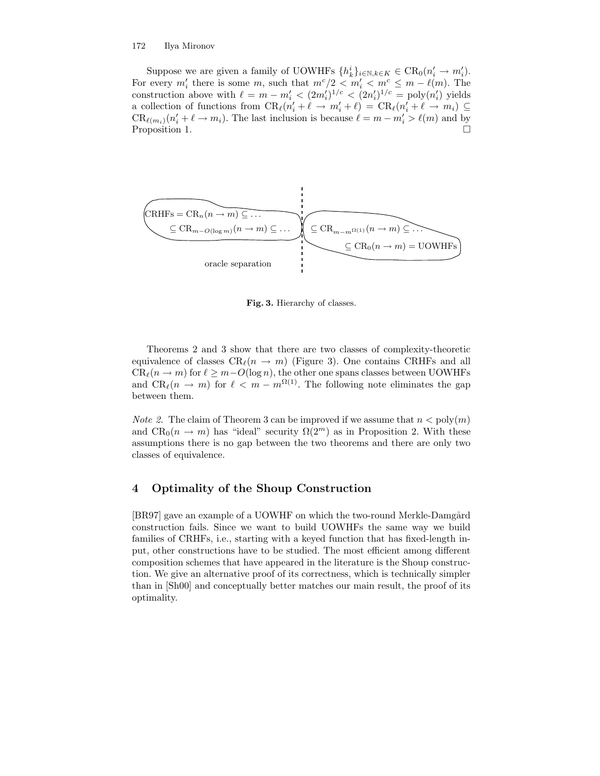Suppose we are given a family of UOWHFs  $\{h_k^i\}_{i \in \mathbb{N}, k \in K} \in \text{CR}_0(n'_i \to m'_i)$ . For every  $m'_i$  there is some m, such that  $m^c/2 < m'_i < m^c \le m - \ell(m)$ . The construction above with  $\ell = m - m'_i < (2m'_i)^{1/c} < (2n'_i)^{1/c} = \text{poly}(n'_i)$  yields a collection of functions from  $CR_{\ell}(n'_i + \ell \to m'_i + \ell) = CR_{\ell}(n'_i + \ell \to m_i) \subseteq$  $\text{CR}_{\ell(m_i)}(n'_i + \ell \to m_i)$ . The last inclusion is because  $\ell = m - m'_i > \ell(m)$  and by Proposition 1.



Fig. 3. Hierarchy of classes.

Theorems 2 and 3 show that there are two classes of complexity-theoretic equivalence of classes  $CR_{\ell}(n \rightarrow m)$  (Figure 3). One contains CRHFs and all  $CR_{\ell}(n \to m)$  for  $\ell \geq m-O(\log n)$ , the other one spans classes between UOWHFs and  $CR_{\ell}(n \to m)$  for  $\ell < m - m^{\Omega(1)}$ . The following note eliminates the gap between them.

*Note 2.* The claim of Theorem 3 can be improved if we assume that  $n < \text{poly}(m)$ and  $CR_0(n \to m)$  has "ideal" security  $\Omega(2^m)$  as in Proposition 2. With these assumptions there is no gap between the two theorems and there are only two classes of equivalence.

# 4 Optimality of the Shoup Construction

[BR97] gave an example of a UOWHF on which the two-round Merkle-Damgård construction fails. Since we want to build UOWHFs the same way we build families of CRHFs, i.e., starting with a keyed function that has fixed-length input, other constructions have to be studied. The most efficient among different composition schemes that have appeared in the literature is the Shoup construction. We give an alternative proof of its correctness, which is technically simpler than in [Sh00] and conceptually better matches our main result, the proof of its optimality.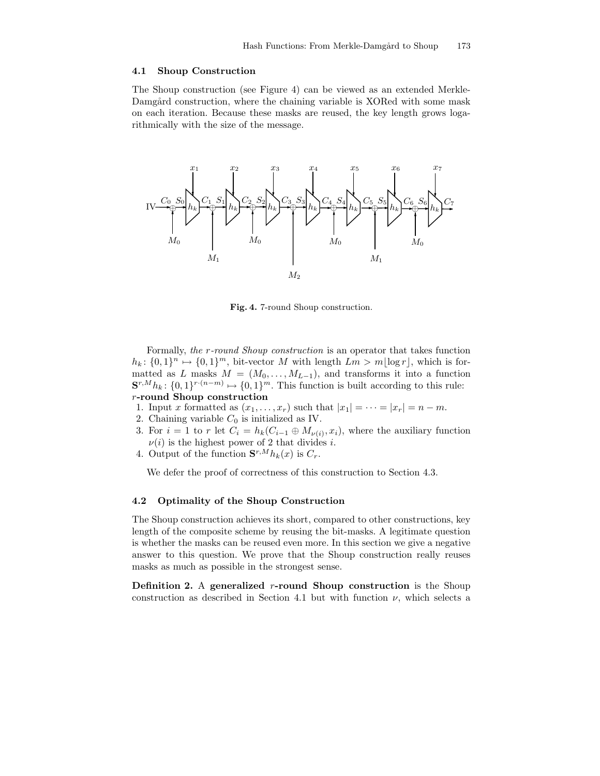#### 4.1 Shoup Construction

The Shoup construction (see Figure 4) can be viewed as an extended Merkle-Damgård construction, where the chaining variable is XORed with some mask on each iteration. Because these masks are reused, the key length grows logarithmically with the size of the message.



Fig. 4. 7-round Shoup construction.

Formally, the r-round Shoup construction is an operator that takes function  $h_k: \{0,1\}^n \mapsto \{0,1\}^m$ , bit-vector M with length  $Lm > m\lfloor \log r \rfloor$ , which is formatted as L masks  $M = (M_0, \ldots, M_{L-1})$ , and transforms it into a function  $\mathbf{S}^{r,M}h_k: \{0,1\}^{r \cdot (n-m)} \mapsto \{0,1\}^m$ . This function is built according to this rule: r-round Shoup construction

- 1. Input x formatted as  $(x_1, \ldots, x_r)$  such that  $|x_1| = \cdots = |x_r| = n m$ .
- 2. Chaining variable  $C_0$  is initialized as IV.
- 3. For  $i = 1$  to r let  $C_i = h_k(C_{i-1} \oplus M_{\nu(i)}, x_i)$ , where the auxiliary function  $\nu(i)$  is the highest power of 2 that divides i.
- 4. Output of the function  $\mathbf{S}^{r,M}h_k(x)$  is  $C_r$ .

We defer the proof of correctness of this construction to Section 4.3.

#### 4.2 Optimality of the Shoup Construction

The Shoup construction achieves its short, compared to other constructions, key length of the composite scheme by reusing the bit-masks. A legitimate question is whether the masks can be reused even more. In this section we give a negative answer to this question. We prove that the Shoup construction really reuses masks as much as possible in the strongest sense.

Definition 2. A generalized  $r$ -round Shoup construction is the Shoup construction as described in Section 4.1 but with function  $\nu$ , which selects a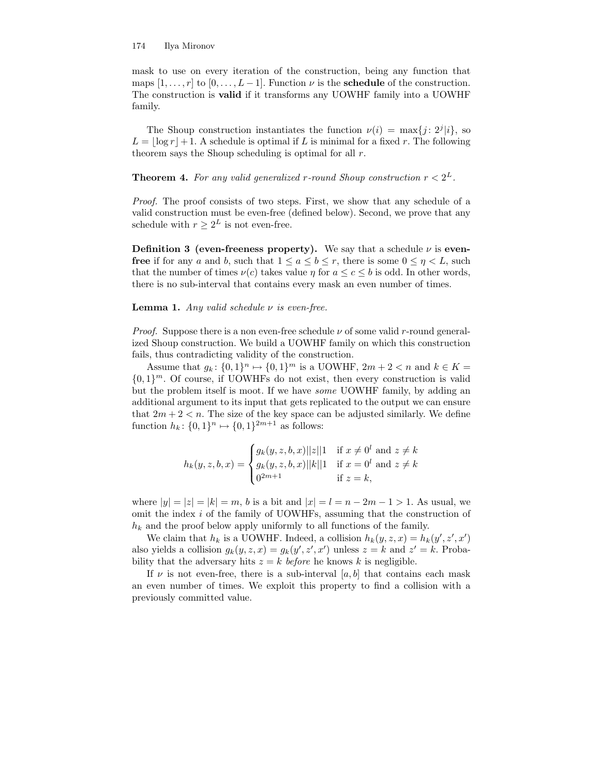mask to use on every iteration of the construction, being any function that maps  $[1, \ldots, r]$  to  $[0, \ldots, L-1]$ . Function  $\nu$  is the **schedule** of the construction. The construction is valid if it transforms any UOWHF family into a UOWHF family.

The Shoup construction instantiates the function  $\nu(i) = \max\{j : 2^j | i\},\$ so  $L = |\log r| + 1$ . A schedule is optimal if L is minimal for a fixed r. The following theorem says the Shoup scheduling is optimal for all  $r$ .

**Theorem 4.** For any valid generalized r-round Shoup construction  $r < 2^L$ .

Proof. The proof consists of two steps. First, we show that any schedule of a valid construction must be even-free (defined below). Second, we prove that any schedule with  $r \geq 2^L$  is not even-free.

**Definition 3 (even-freeness property).** We say that a schedule  $\nu$  is even**free** if for any a and b, such that  $1 \le a \le b \le r$ , there is some  $0 \le \eta \le L$ , such that the number of times  $\nu(c)$  takes value  $\eta$  for  $a \leq c \leq b$  is odd. In other words, there is no sub-interval that contains every mask an even number of times.

#### **Lemma 1.** Any valid schedule  $\nu$  is even-free.

*Proof.* Suppose there is a non even-free schedule  $\nu$  of some valid r-round generalized Shoup construction. We build a UOWHF family on which this construction fails, thus contradicting validity of the construction.

Assume that  $g_k: \{0,1\}^n \mapsto \{0,1\}^m$  is a UOWHF,  $2m + 2 < n$  and  $k \in K =$  ${0,1}^m$ . Of course, if UOWHFs do not exist, then every construction is valid but the problem itself is moot. If we have some UOWHF family, by adding an additional argument to its input that gets replicated to the output we can ensure that  $2m + 2 < n$ . The size of the key space can be adjusted similarly. We define function  $h_k: \{0, 1\}^n \mapsto \{0, 1\}^{2m+1}$  as follows:

$$
h_k(y, z, b, x) = \begin{cases} g_k(y, z, b, x) ||z||1 & \text{if } x \neq 0^l \text{ and } z \neq k \\ g_k(y, z, b, x) ||k||1 & \text{if } x = 0^l \text{ and } z \neq k \\ 0^{2m+1} & \text{if } z = k, \end{cases}
$$

where  $|y| = |z| = |k| = m$ , b is a bit and  $|x| = l = n - 2m - 1 > 1$ . As usual, we omit the index i of the family of UOWHFs, assuming that the construction of  $h_k$  and the proof below apply uniformly to all functions of the family.

We claim that  $h_k$  is a UOWHF. Indeed, a collision  $h_k(y, z, x) = h_k(y', z', x')$ also yields a collision  $g_k(y, z, x) = g_k(y', z', x')$  unless  $z = k$  and  $z' = k$ . Probability that the adversary hits  $z = k$  before he knows k is negligible.

If  $\nu$  is not even-free, there is a sub-interval [a, b] that contains each mask an even number of times. We exploit this property to find a collision with a previously committed value.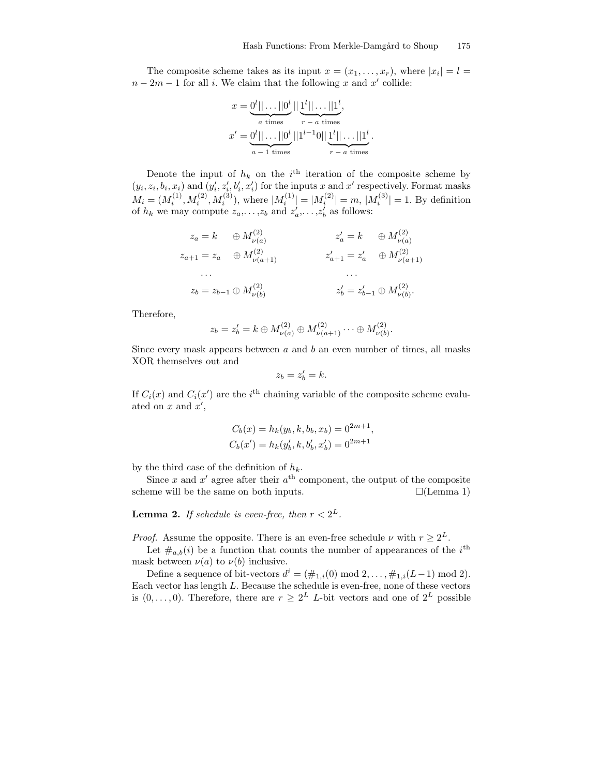.

The composite scheme takes as its input  $x = (x_1, \ldots, x_r)$ , where  $|x_i| = l$  $n-2m-1$  for all i. We claim that the following x and x' collide:

$$
x = \underbrace{0^l || \dots || 0^l}_{a \text{ times}} || \underbrace{1^l || \dots || 1^l}_{r - a \text{ times}},
$$

$$
x' = \underbrace{0^l || \dots || 0^l}_{a - 1 \text{ times}} || 1^{l - 1} 0 || \underbrace{1^l || \dots || 1^l}_{r - a \text{ times}}
$$

Denote the input of  $h_k$  on the i<sup>th</sup> iteration of the composite scheme by  $(y_i, z_i, b_i, x_i)$  and  $(y'_i, z'_i, b'_i, x'_i)$  for the inputs x and x' respectively. Format masks  $M_i = (M_i^{(1)}, M_i^{(2)}, M_i^{(3)}),$  where  $|M_i^{(1)}| = |M_i^{(2)}| = m, |M_i^{(3)}| = 1$ . By definition of  $h_k$  we may compute  $z_a, \ldots, z_b$  and  $z'_a, \ldots, z'_b$  as follows:

$$
z_{a} = k \qquad \oplus M_{\nu(a)}^{(2)} \qquad \qquad z'_{a} = k \qquad \oplus M_{\nu(a)}^{(2)}
$$
  
\n
$$
z_{a+1} = z_{a} \qquad \oplus M_{\nu(a+1)}^{(2)} \qquad \qquad z'_{a+1} = z'_{a} \qquad \oplus M_{\nu(a+1)}^{(2)}
$$
  
\n...  
\n
$$
z_{b} = z_{b-1} \oplus M_{\nu(b)}^{(2)} \qquad \qquad z'_{b} = z'_{b-1} \oplus M_{\nu(b)}^{(2)}.
$$

Therefore,

$$
z_b = z'_b = k \oplus M_{\nu(a)}^{(2)} \oplus M_{\nu(a+1)}^{(2)} \cdots \oplus M_{\nu(b)}^{(2)}.
$$

Since every mask appears between  $a$  and  $b$  an even number of times, all masks XOR themselves out and

$$
z_b = z'_b = k.
$$

If  $C_i(x)$  and  $C_i(x')$  are the *i*<sup>th</sup> chaining variable of the composite scheme evaluated on  $x$  and  $x'$ ,

$$
C_b(x) = h_k(y_b, k, b_b, x_b) = 0^{2m+1},
$$
  

$$
C_b(x') = h_k(y'_b, k, b'_b, x'_b) = 0^{2m+1}
$$

by the third case of the definition of  $h_k$ .

Since x and  $x'$  agree after their  $a<sup>th</sup>$  component, the output of the composite scheme will be the same on both inputs.  $\Box$  (Lemma 1)

**Lemma 2.** If schedule is even-free, then  $r < 2^L$ .

*Proof.* Assume the opposite. There is an even-free schedule  $\nu$  with  $r \geq 2^L$ .

Let  $\#_{a,b}(i)$  be a function that counts the number of appearances of the  $i^{\text{th}}$ mask between  $\nu(a)$  to  $\nu(b)$  inclusive.

Define a sequence of bit-vectors  $d^i = (\#_{1,i}(0) \mod 2, \ldots, \#_{1,i}(L-1) \mod 2)$ . Each vector has length L. Because the schedule is even-free, none of these vectors is  $(0,\ldots,0)$ . Therefore, there are  $r \geq 2^L$  L-bit vectors and one of  $2^L$  possible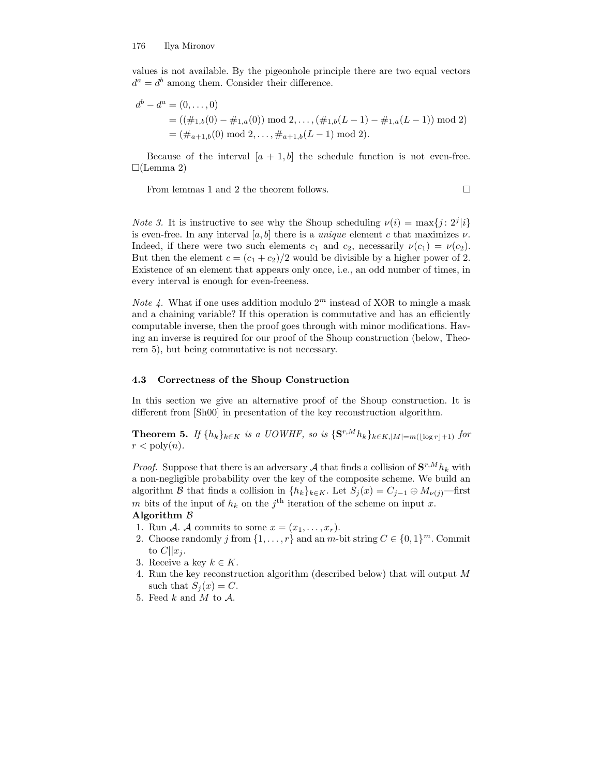values is not available. By the pigeonhole principle there are two equal vectors  $d^a = d^b$  among them. Consider their difference.

$$
d^{b} - d^{a} = (0, ..., 0)
$$
  
= ((#<sub>1,b</sub>(0) - #<sub>1,a</sub>(0)) mod 2, ..., (#<sub>1,b</sub>(L – 1) - #<sub>1,a</sub>(L – 1)) mod 2)  
= (#<sub>a+1,b</sub>(0) mod 2, ..., #<sub>a+1,b</sub>(L – 1) mod 2).

Because of the interval  $[a + 1, b]$  the schedule function is not even-free.  $\square$ (Lemma 2)

From lemmas 1 and 2 the theorem follows.  $\Box$ 

*Note 3.* It is instructive to see why the Shoup scheduling  $\nu(i) = \max\{j : 2^j | i\}$ is even-free. In any interval [a, b] there is a unique element c that maximizes  $\nu$ . Indeed, if there were two such elements  $c_1$  and  $c_2$ , necessarily  $\nu(c_1) = \nu(c_2)$ . But then the element  $c = (c_1 + c_2)/2$  would be divisible by a higher power of 2. Existence of an element that appears only once, i.e., an odd number of times, in every interval is enough for even-freeness.

*Note 4*. What if one uses addition modulo  $2<sup>m</sup>$  instead of XOR to mingle a mask and a chaining variable? If this operation is commutative and has an efficiently computable inverse, then the proof goes through with minor modifications. Having an inverse is required for our proof of the Shoup construction (below, Theorem 5), but being commutative is not necessary.

#### 4.3 Correctness of the Shoup Construction

In this section we give an alternative proof of the Shoup construction. It is different from [Sh00] in presentation of the key reconstruction algorithm.

**Theorem 5.** If  $\{h_k\}_{k\in K}$  is a UOWHF, so is  $\{S^{r,M}h_k\}_{k\in K,|M|=m(\lfloor \log r \rfloor+1)}$  for  $r < \text{poly}(n)$ .

*Proof.* Suppose that there is an adversary A that finds a collision of  $S^{r,M}h_k$  with a non-negligible probability over the key of the composite scheme. We build an algorithm B that finds a collision in  $\{h_k\}_{k\in K}$ . Let  $S_j(x) = C_{j-1} \oplus M_{\nu(j)}$ —first m bits of the input of  $h_k$  on the j<sup>th</sup> iteration of the scheme on input x.

#### Algorithm  $\beta$

- 1. Run A. A commits to some  $x = (x_1, \ldots, x_r)$ .
- 2. Choose randomly j from  $\{1, \ldots, r\}$  and an m-bit string  $C \in \{0, 1\}^m$ . Commit to  $C||x_i$ .
- 3. Receive a key  $k \in K$ .
- 4. Run the key reconstruction algorithm (described below) that will output M such that  $S_i(x) = C$ .
- 5. Feed  $k$  and  $M$  to  $A$ .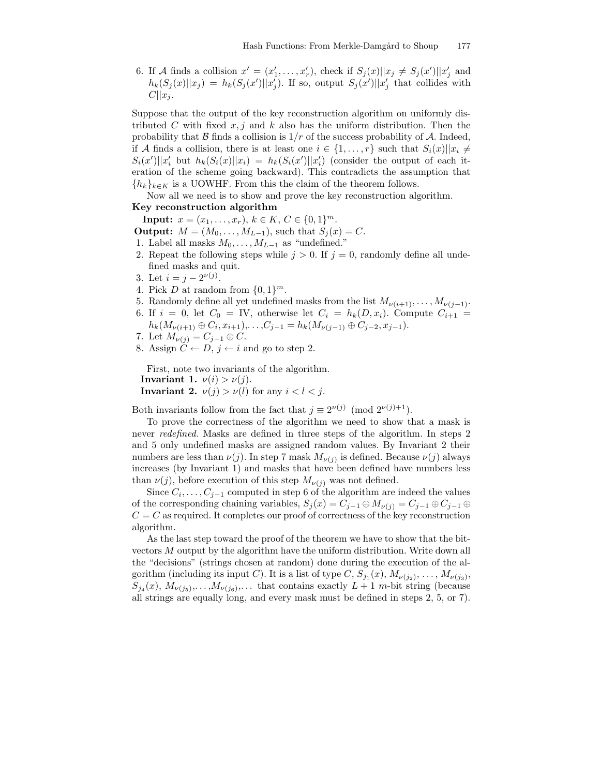6. If A finds a collision  $x' = (x'_1, \ldots, x'_r)$ , check if  $S_j(x)||x_j \neq S_j(x')||x'_j$  and  $h_k(S_j(x)||x_j) = h_k(S_j(x')||x'_j)$ . If so, output  $S_j(x')||x'_j$  that collides with  $C||x_i.$ 

Suppose that the output of the key reconstruction algorithm on uniformly distributed C with fixed  $x, j$  and k also has the uniform distribution. Then the probability that  $\beta$  finds a collision is  $1/r$  of the success probability of  $\mathcal A$ . Indeed, if A finds a collision, there is at least one  $i \in \{1, \ldots, r\}$  such that  $S_i(x)||x_i \neq$  $S_i(x')||x'_i$  but  $h_k(S_i(x)||x_i) = h_k(S_i(x')||x'_i)$  (consider the output of each iteration of the scheme going backward). This contradicts the assumption that  ${h_k}_{k \in K}$  is a UOWHF. From this the claim of the theorem follows.

Now all we need is to show and prove the key reconstruction algorithm.

#### Key reconstruction algorithm

Input:  $x = (x_1, \ldots, x_r), k \in K, C \in \{0, 1\}^m$ .

- **Output:**  $M = (M_0, ..., M_{L-1})$ , such that  $S_i(x) = C$ .
- 1. Label all masks  $M_0, \ldots, M_{L-1}$  as "undefined."
- 2. Repeat the following steps while  $j > 0$ . If  $j = 0$ , randomly define all undefined masks and quit.
- 3. Let  $i = j 2^{\nu(j)}$ .
- 4. Pick D at random from  $\{0,1\}^m$ .
- 5. Randomly define all yet undefined masks from the list  $M_{\nu(i+1)}, \ldots, M_{\nu(j-1)}$ . 6. If  $i = 0$ , let  $C_0 = \text{IV}$ , otherwise let  $C_i = h_k(D, x_i)$ . Compute  $C_{i+1}$
- $h_k(M_{\nu(i+1)} \oplus C_i, x_{i+1}), \ldots, C_{j-1} = h_k(M_{\nu(j-1)} \oplus C_{j-2}, x_{j-1}).$
- 7. Let  $M_{\nu(j)} = C_{j-1} \oplus C$ .
- 8. Assign  $C \leftarrow D$ ,  $j \leftarrow i$  and go to step 2.

First, note two invariants of the algorithm. **Invariant 1.**  $\nu(i) > \nu(j)$ . **Invariant 2.**  $\nu(j) > \nu(l)$  for any  $i < l < j$ .

Both invariants follow from the fact that  $j \equiv 2^{\nu(j)} \pmod{2^{\nu(j)+1}}$ .

To prove the correctness of the algorithm we need to show that a mask is never redefined. Masks are defined in three steps of the algorithm. In steps 2 and 5 only undefined masks are assigned random values. By Invariant 2 their numbers are less than  $\nu(j)$ . In step 7 mask  $M_{\nu(j)}$  is defined. Because  $\nu(j)$  always increases (by Invariant 1) and masks that have been defined have numbers less than  $\nu(j)$ , before execution of this step  $M_{\nu(i)}$  was not defined.

Since  $C_i, \ldots, C_{j-1}$  computed in step 6 of the algorithm are indeed the values of the corresponding chaining variables,  $S_j(x) = C_{j-1} \oplus M_{\nu(j)} = C_{j-1} \oplus C_{j-1} \oplus$  $C = C$  as required. It completes our proof of correctness of the key reconstruction algorithm.

As the last step toward the proof of the theorem we have to show that the bitvectors M output by the algorithm have the uniform distribution. Write down all the "decisions" (strings chosen at random) done during the execution of the algorithm (including its input C). It is a list of type  $C, S_{j_1}(x), M_{\nu(j_2)}, \ldots, M_{\nu(j_3)},$  $S_{j_4}(x), M_{\nu(j_5)}, \ldots, M_{\nu(j_6)}, \ldots$  that contains exactly  $L+1$  m-bit string (because all strings are equally long, and every mask must be defined in steps 2, 5, or 7).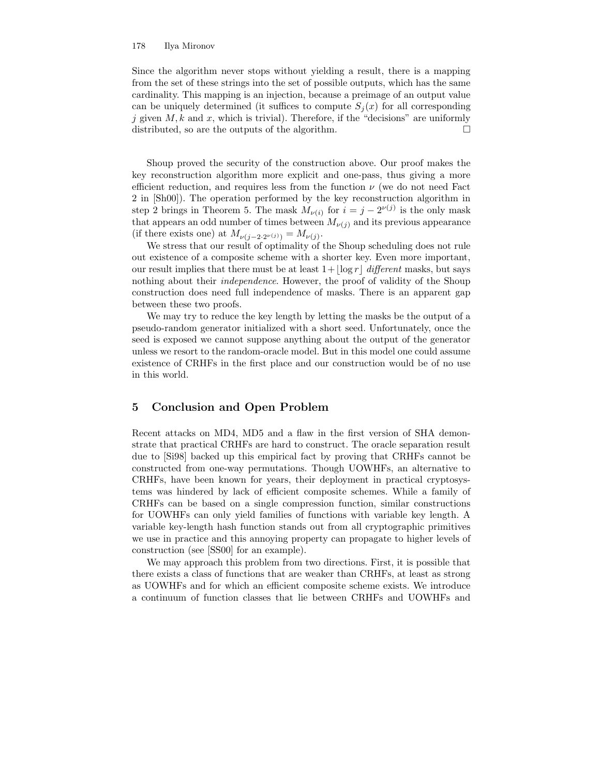Since the algorithm never stops without yielding a result, there is a mapping from the set of these strings into the set of possible outputs, which has the same cardinality. This mapping is an injection, because a preimage of an output value can be uniquely determined (it suffices to compute  $S_i(x)$  for all corresponding j given  $M, k$  and  $x$ , which is trivial). Therefore, if the "decisions" are uniformly distributed, so are the outputs of the algorithm.  $\Box$ 

Shoup proved the security of the construction above. Our proof makes the key reconstruction algorithm more explicit and one-pass, thus giving a more efficient reduction, and requires less from the function  $\nu$  (we do not need Fact 2 in [Sh00]). The operation performed by the key reconstruction algorithm in step 2 brings in Theorem 5. The mask  $M_{\nu(i)}$  for  $i = j - 2^{\nu(j)}$  is the only mask that appears an odd number of times between  $M_{\nu(i)}$  and its previous appearance (if there exists one) at  $M_{\nu(j-2\cdot2^{\nu(j)})} = M_{\nu(j)}$ .

We stress that our result of optimality of the Shoup scheduling does not rule out existence of a composite scheme with a shorter key. Even more important, our result implies that there must be at least  $1+|\log r|$  different masks, but says nothing about their *independence*. However, the proof of validity of the Shoup construction does need full independence of masks. There is an apparent gap between these two proofs.

We may try to reduce the key length by letting the masks be the output of a pseudo-random generator initialized with a short seed. Unfortunately, once the seed is exposed we cannot suppose anything about the output of the generator unless we resort to the random-oracle model. But in this model one could assume existence of CRHFs in the first place and our construction would be of no use in this world.

# 5 Conclusion and Open Problem

Recent attacks on MD4, MD5 and a flaw in the first version of SHA demonstrate that practical CRHFs are hard to construct. The oracle separation result due to [Si98] backed up this empirical fact by proving that CRHFs cannot be constructed from one-way permutations. Though UOWHFs, an alternative to CRHFs, have been known for years, their deployment in practical cryptosystems was hindered by lack of efficient composite schemes. While a family of CRHFs can be based on a single compression function, similar constructions for UOWHFs can only yield families of functions with variable key length. A variable key-length hash function stands out from all cryptographic primitives we use in practice and this annoying property can propagate to higher levels of construction (see [SS00] for an example).

We may approach this problem from two directions. First, it is possible that there exists a class of functions that are weaker than CRHFs, at least as strong as UOWHFs and for which an efficient composite scheme exists. We introduce a continuum of function classes that lie between CRHFs and UOWHFs and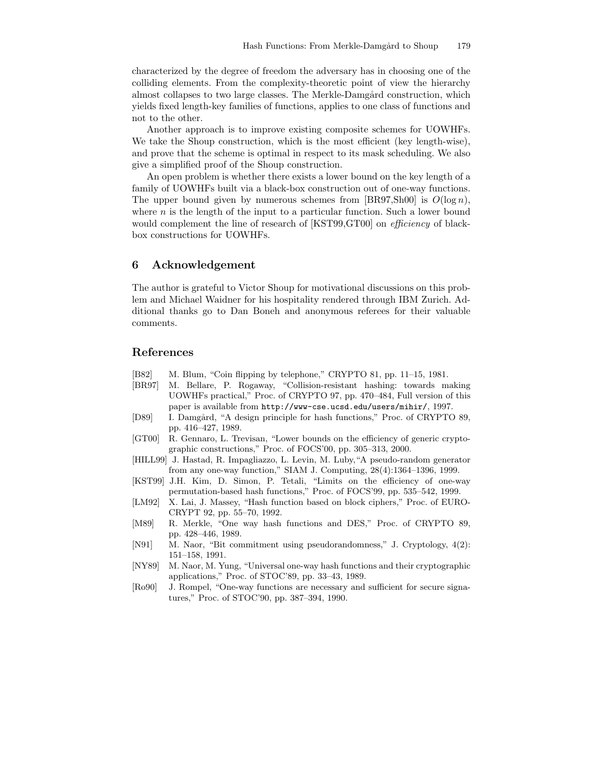characterized by the degree of freedom the adversary has in choosing one of the colliding elements. From the complexity-theoretic point of view the hierarchy almost collapses to two large classes. The Merkle-Damgård construction, which yields fixed length-key families of functions, applies to one class of functions and not to the other.

Another approach is to improve existing composite schemes for UOWHFs. We take the Shoup construction, which is the most efficient (key length-wise), and prove that the scheme is optimal in respect to its mask scheduling. We also give a simplified proof of the Shoup construction.

An open problem is whether there exists a lower bound on the key length of a family of UOWHFs built via a black-box construction out of one-way functions. The upper bound given by numerous schemes from [BR97,Sh00] is  $O(\log n)$ , where  $n$  is the length of the input to a particular function. Such a lower bound would complement the line of research of [KST99,GT00] on *efficiency* of blackbox constructions for UOWHFs.

### 6 Acknowledgement

The author is grateful to Victor Shoup for motivational discussions on this problem and Michael Waidner for his hospitality rendered through IBM Zurich. Additional thanks go to Dan Boneh and anonymous referees for their valuable comments.

# References

- [B82] M. Blum, "Coin flipping by telephone," CRYPTO 81, pp. 11–15, 1981.
- [BR97] M. Bellare, P. Rogaway, "Collision-resistant hashing: towards making UOWHFs practical," Proc. of CRYPTO 97, pp. 470–484, Full version of this paper is available from http://www-cse.ucsd.edu/users/mihir/, 1997.
- [D89] I. Damgård, "A design principle for hash functions," Proc. of CRYPTO 89, pp. 416–427, 1989.
- [GT00] R. Gennaro, L. Trevisan, "Lower bounds on the efficiency of generic cryptographic constructions," Proc. of FOCS'00, pp. 305–313, 2000.
- [HILL99] J. Hastad, R. Impagliazzo, L. Levin, M. Luby,"A pseudo-random generator from any one-way function," SIAM J. Computing, 28(4):1364–1396, 1999.
- [KST99] J.H. Kim, D. Simon, P. Tetali, "Limits on the efficiency of one-way permutation-based hash functions," Proc. of FOCS'99, pp. 535–542, 1999.
- [LM92] X. Lai, J. Massey, "Hash function based on block ciphers," Proc. of EURO-CRYPT 92, pp. 55–70, 1992.
- [M89] R. Merkle, "One way hash functions and DES," Proc. of CRYPTO 89, pp. 428–446, 1989.
- [N91] M. Naor, "Bit commitment using pseudorandomness," J. Cryptology, 4(2): 151–158, 1991.
- [NY89] M. Naor, M. Yung, "Universal one-way hash functions and their cryptographic applications," Proc. of STOC'89, pp. 33–43, 1989.
- [Ro90] J. Rompel, "One-way functions are necessary and sufficient for secure signatures," Proc. of STOC'90, pp. 387–394, 1990.